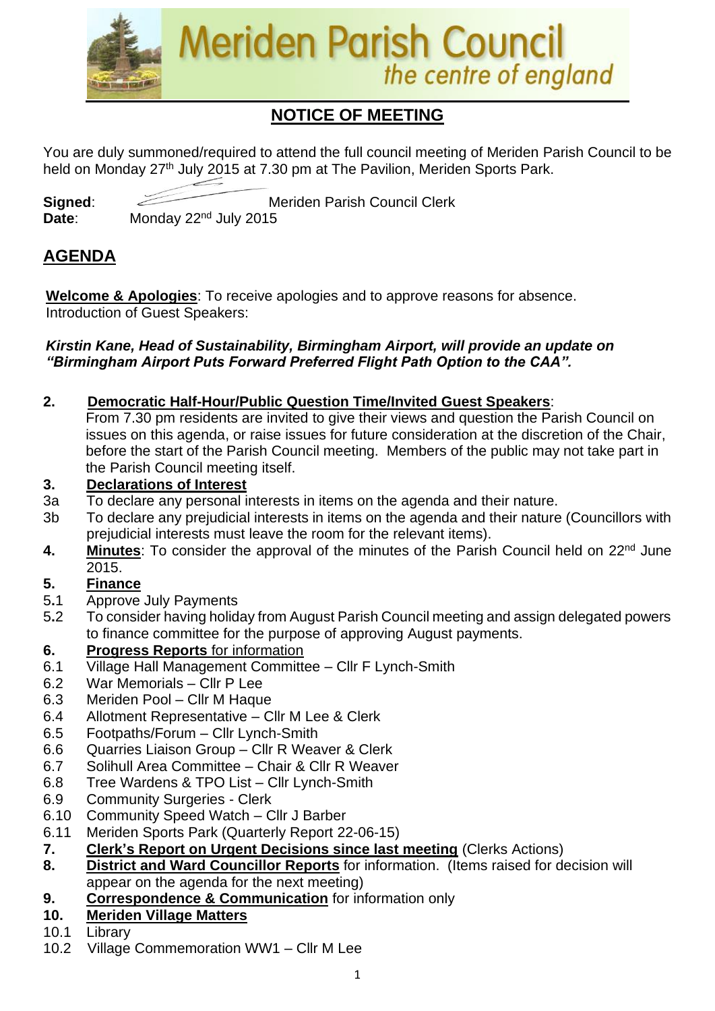

## **NOTICE OF MEETING**

You are duly summoned/required to attend the full council meeting of Meriden Parish Council to be held on Monday 27<sup>th</sup> July 2015 at 7.30 pm at The Pavilion, Meriden Sports Park.

**Signed:** Meriden Parish Council Clerk Date: Monday 22<sup>nd</sup> July 2015

### **AGENDA**

**Welcome & Apologies**: To receive apologies and to approve reasons for absence. Introduction of Guest Speakers:

#### *Kirstin Kane, Head of Sustainability, Birmingham Airport, will provide an update on "Birmingham Airport Puts Forward Preferred Flight Path Option to the CAA".*

- **2. Democratic Half-Hour/Public Question Time/Invited Guest Speakers**:
	- From 7.30 pm residents are invited to give their views and question the Parish Council on issues on this agenda, or raise issues for future consideration at the discretion of the Chair, before the start of the Parish Council meeting. Members of the public may not take part in the Parish Council meeting itself.

### **3. Declarations of Interest**

- 3a To declare any personal interests in items on the agenda and their nature.
- 3b To declare any prejudicial interests in items on the agenda and their nature (Councillors with prejudicial interests must leave the room for the relevant items).
- 4. Minutes: To consider the approval of the minutes of the Parish Council held on 22<sup>nd</sup> June 2015.

### **5. Finance**

- 5**.**1 Approve July Payments
- 5**.**2 To consider having holiday from August Parish Council meeting and assign delegated powers to finance committee for the purpose of approving August payments.

### **6. Progress Reports** for information

- 6.1 Village Hall Management Committee Cllr F Lynch-Smith
- 6.2 War Memorials Cllr P Lee
- 6.3 Meriden Pool Cllr M Haque
- 6.4 Allotment Representative Cllr M Lee & Clerk
- 6.5 Footpaths/Forum Cllr Lynch-Smith
- 6.6 Quarries Liaison Group Cllr R Weaver & Clerk
- 6.7 Solihull Area Committee Chair & Cllr R Weaver
- 6.8 Tree Wardens & TPO List Cllr Lynch-Smith
- 6.9 Community Surgeries Clerk
- 6.10 Community Speed Watch Cllr J Barber
- 6.11 Meriden Sports Park (Quarterly Report 22-06-15)
- **7. Clerk's Report on Urgent Decisions since last meeting** (Clerks Actions)
- **8. District and Ward Councillor Reports** for information. (Items raised for decision will appear on the agenda for the next meeting)
- **9. Correspondence & Communication** for information only

### **10. Meriden Village Matters**

- 10.1 Library
- 10.2 Village Commemoration WW1 Cllr M Lee